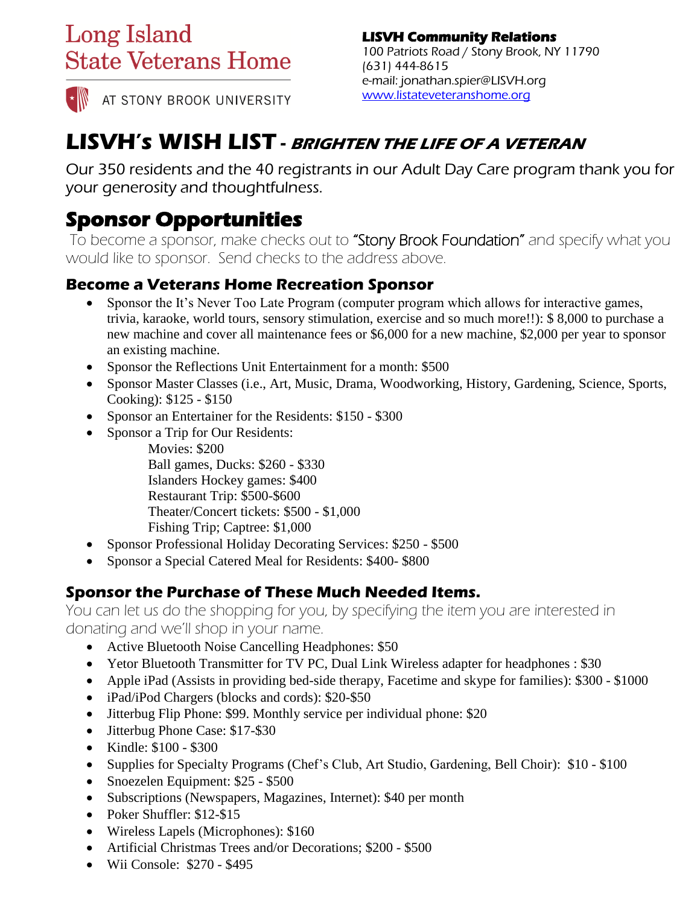# **Long Island State Veterans Home**

AT STONY BROOK UNIVERSITY

#### **LISVH Community Relations**  100 Patriots Road / Stony Brook, NY 11790 (631) 444-8615 e-mail: jonathan.spier@LISVH.org [www.listateveteranshome.org](http://www.listateveteranshome.org/)

# **LISVH's WISH LIST - BRIGHTEN THE LIFE OF A VETERAN**

Our 350 residents and the 40 registrants in our Adult Day Care program thank you for your generosity and thoughtfulness.

### **Sponsor Opportunities**

To become a sponsor, make checks out to "Stony Brook Foundation" and specify what you would like to sponsor. Send checks to the address above.

#### **Become a Veterans Home Recreation Sponsor**

- Sponsor the It's Never Too Late Program (computer program which allows for interactive games, trivia, karaoke, world tours, sensory stimulation, exercise and so much more!!): \$ 8,000 to purchase a new machine and cover all maintenance fees or \$6,000 for a new machine, \$2,000 per year to sponsor an existing machine.
- Sponsor the Reflections Unit Entertainment for a month: \$500
- Sponsor Master Classes (i.e., Art, Music, Drama, Woodworking, History, Gardening, Science, Sports, Cooking): \$125 - \$150
- Sponsor an Entertainer for the Residents: \$150 \$300
- Sponsor a Trip for Our Residents:

Movies: \$200

Ball games, Ducks: \$260 - \$330

- Islanders Hockey games: \$400
- Restaurant Trip: \$500-\$600
- Theater/Concert tickets: \$500 \$1,000

Fishing Trip; Captree: \$1,000

- Sponsor Professional Holiday Decorating Services: \$250 \$500
- Sponsor a Special Catered Meal for Residents: \$400-\$800

### **Sponsor the Purchase of These Much Needed Items.**

You can let us do the shopping for you, by specifying the item you are interested in donating and we'll shop in your name.

- Active Bluetooth Noise Cancelling Headphones: \$50
- Yetor Bluetooth Transmitter for TV PC, Dual Link Wireless adapter for headphones : \$30
- Apple iPad (Assists in providing bed-side therapy, Facetime and skype for families): \$300 \$1000
- iPad/iPod Chargers (blocks and cords): \$20-\$50
- Jitterbug Flip Phone: \$99. Monthly service per individual phone: \$20
- Jitterbug Phone Case: \$17-\$30
- Kindle: \$100 \$300
- Supplies for Specialty Programs (Chef's Club, Art Studio, Gardening, Bell Choir): \$10 \$100
- Snoezelen Equipment: \$25 \$500
- Subscriptions (Newspapers, Magazines, Internet): \$40 per month
- Poker Shuffler: \$12-\$15
- Wireless Lapels (Microphones): \$160
- Artificial Christmas Trees and/or Decorations; \$200 \$500
- Wii Console: \$270 \$495